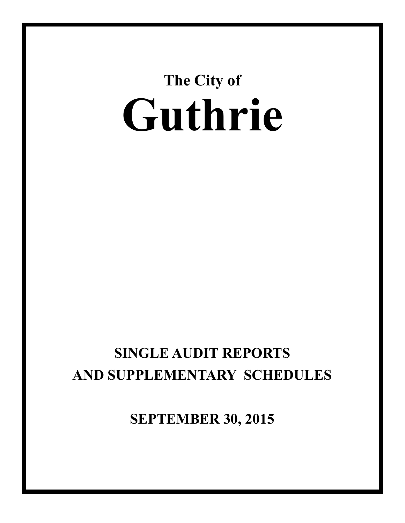# **The City of**  Guthrie

# **SINGLE AUDIT REPORTS AND SUPPLEMENTARY SCHEDULES**

**SEPTEMBER 30, 2015**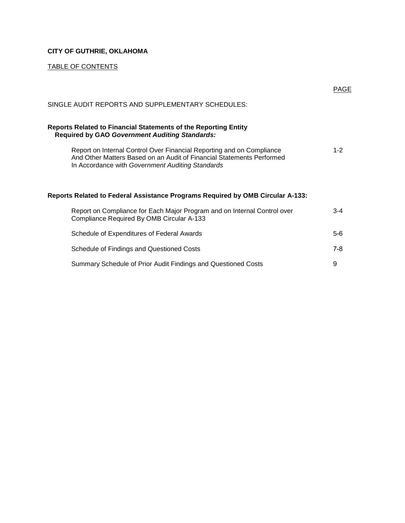## **CITY OF GUTHRIE, OKLAHOMA**

## TABLE OF CONTENTS

|                                                                                                                                                                                                    | PAGE    |
|----------------------------------------------------------------------------------------------------------------------------------------------------------------------------------------------------|---------|
| SINGLE AUDIT REPORTS AND SUPPLEMENTARY SCHEDULES:                                                                                                                                                  |         |
| Reports Related to Financial Statements of the Reporting Entity<br><b>Required by GAO Government Auditing Standards:</b>                                                                           |         |
| Report on Internal Control Over Financial Reporting and on Compliance<br>And Other Matters Based on an Audit of Financial Statements Performed<br>In Accordance with Government Auditing Standards | $1 - 2$ |
| Reports Related to Federal Assistance Programs Required by OMB Circular A-133:                                                                                                                     |         |
| Report on Compliance for Each Major Program and on Internal Control over<br>Compliance Required By OMB Circular A-133                                                                              | $3-4$   |
| Schedule of Expenditures of Federal Awards                                                                                                                                                         | $5-6$   |
| Schedule of Findings and Questioned Costs                                                                                                                                                          | 7-8     |
| Summary Schedule of Prior Audit Findings and Questioned Costs                                                                                                                                      | 9       |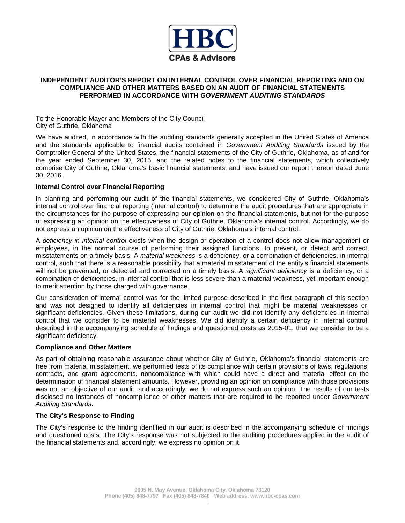

#### **INDEPENDENT AUDITOR'S REPORT ON INTERNAL CONTROL OVER FINANCIAL REPORTING AND ON COMPLIANCE AND OTHER MATTERS BASED ON AN AUDIT OF FINANCIAL STATEMENTS PERFORMED IN ACCORDANCE WITH** *GOVERNMENT AUDITING STANDARDS*

To the Honorable Mayor and Members of the City Council City of Guthrie, Oklahoma

We have audited, in accordance with the auditing standards generally accepted in the United States of America and the standards applicable to financial audits contained in *Government Auditing Standards* issued by the Comptroller General of the United States, the financial statements of the City of Guthrie, Oklahoma, as of and for the year ended September 30, 2015, and the related notes to the financial statements, which collectively comprise City of Guthrie, Oklahoma's basic financial statements, and have issued our report thereon dated June 30, 2016.

#### **Internal Control over Financial Reporting**

In planning and performing our audit of the financial statements, we considered City of Guthrie, Oklahoma's internal control over financial reporting (internal control) to determine the audit procedures that are appropriate in the circumstances for the purpose of expressing our opinion on the financial statements, but not for the purpose of expressing an opinion on the effectiveness of City of Guthrie, Oklahoma's internal control. Accordingly, we do not express an opinion on the effectiveness of City of Guthrie, Oklahoma's internal control.

A *deficiency in internal control* exists when the design or operation of a control does not allow management or employees, in the normal course of performing their assigned functions, to prevent, or detect and correct, misstatements on a timely basis. A *material weakness* is a deficiency, or a combination of deficiencies, in internal control, such that there is a reasonable possibility that a material misstatement of the entity's financial statements will not be prevented, or detected and corrected on a timely basis. A *significant deficiency* is a deficiency, or a combination of deficiencies, in internal control that is less severe than a material weakness, yet important enough to merit attention by those charged with governance.

Our consideration of internal control was for the limited purpose described in the first paragraph of this section and was not designed to identify all deficiencies in internal control that might be material weaknesses or, significant deficiencies. Given these limitations, during our audit we did not identify any deficiencies in internal control that we consider to be material weaknesses. We did identify a certain deficiency in internal control, described in the accompanying schedule of findings and questioned costs as 2015-01, that we consider to be a significant deficiency.

#### **Compliance and Other Matters**

As part of obtaining reasonable assurance about whether City of Guthrie, Oklahoma's financial statements are free from material misstatement, we performed tests of its compliance with certain provisions of laws, regulations, contracts, and grant agreements, noncompliance with which could have a direct and material effect on the determination of financial statement amounts. However, providing an opinion on compliance with those provisions was not an objective of our audit, and accordingly, we do not express such an opinion. The results of our tests disclosed no instances of noncompliance or other matters that are required to be reported under *Government Auditing Standards*.

#### **The City's Response to Finding**

The City's response to the finding identified in our audit is described in the accompanying schedule of findings and questioned costs. The City's response was not subjected to the auditing procedures applied in the audit of the financial statements and, accordingly, we express no opinion on it.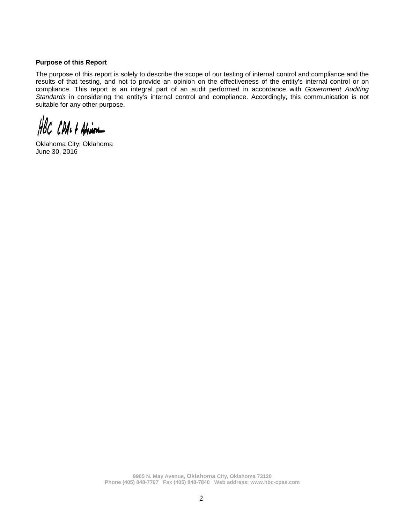#### **Purpose of this Report**

The purpose of this report is solely to describe the scope of our testing of internal control and compliance and the results of that testing, and not to provide an opinion on the effectiveness of the entity's internal control or on compliance. This report is an integral part of an audit performed in accordance with *Government Auditing Standards* in considering the entity's internal control and compliance. Accordingly, this communication is not suitable for any other purpose.

HBC CDA: + Advisor

Oklahoma City, Oklahoma June 30, 2016

**9905 N. May Avenue, Oklahoma City, Oklahoma 73120 Phone (405) 848-7797 Fax (405) 848-7840 Web address: www.hbc-cpas.com**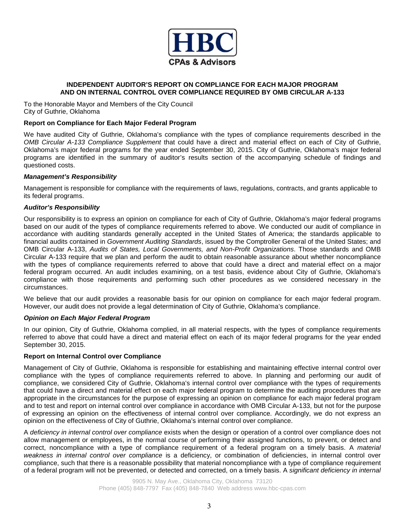

#### **INDEPENDENT AUDITOR'S REPORT ON COMPLIANCE FOR EACH MAJOR PROGRAM AND ON INTERNAL CONTROL OVER COMPLIANCE REQUIRED BY OMB CIRCULAR A-133**

To the Honorable Mayor and Members of the City Council City of Guthrie, Oklahoma

#### **Report on Compliance for Each Major Federal Program**

We have audited City of Guthrie, Oklahoma's compliance with the types of compliance requirements described in the *OMB Circular A-133 Compliance Supplement* that could have a direct and material effect on each of City of Guthrie, Oklahoma's major federal programs for the year ended September 30, 2015. City of Guthrie, Oklahoma's major federal programs are identified in the summary of auditor's results section of the accompanying schedule of findings and questioned costs.

#### *Management's Responsibility*

Management is responsible for compliance with the requirements of laws, regulations, contracts, and grants applicable to its federal programs.

#### *Auditor's Responsibility*

Our responsibility is to express an opinion on compliance for each of City of Guthrie, Oklahoma's major federal programs based on our audit of the types of compliance requirements referred to above. We conducted our audit of compliance in accordance with auditing standards generally accepted in the United States of America; the standards applicable to financial audits contained in *Government Auditing Standards*, issued by the Comptroller General of the United States; and OMB Circular A-133, *Audits of States, Local Governments, and Non-Profit Organizations*. Those standards and OMB Circular A-133 require that we plan and perform the audit to obtain reasonable assurance about whether noncompliance with the types of compliance requirements referred to above that could have a direct and material effect on a major federal program occurred. An audit includes examining, on a test basis, evidence about City of Guthrie, Oklahoma's compliance with those requirements and performing such other procedures as we considered necessary in the circumstances.

We believe that our audit provides a reasonable basis for our opinion on compliance for each major federal program. However, our audit does not provide a legal determination of City of Guthrie, Oklahoma's compliance.

#### *Opinion on Each Major Federal Program*

In our opinion, City of Guthrie, Oklahoma complied, in all material respects, with the types of compliance requirements referred to above that could have a direct and material effect on each of its major federal programs for the year ended September 30, 2015.

#### **Report on Internal Control over Compliance**

Management of City of Guthrie, Oklahoma is responsible for establishing and maintaining effective internal control over compliance with the types of compliance requirements referred to above. In planning and performing our audit of compliance, we considered City of Guthrie, Oklahoma's internal control over compliance with the types of requirements that could have a direct and material effect on each major federal program to determine the auditing procedures that are appropriate in the circumstances for the purpose of expressing an opinion on compliance for each major federal program and to test and report on internal control over compliance in accordance with OMB Circular A-133, but not for the purpose of expressing an opinion on the effectiveness of internal control over compliance. Accordingly, we do not express an opinion on the effectiveness of City of Guthrie, Oklahoma's internal control over compliance.

A *deficiency in internal control over compliance* exists when the design or operation of a control over compliance does not allow management or employees, in the normal course of performing their assigned functions, to prevent, or detect and correct, noncompliance with a type of compliance requirement of a federal program on a timely basis. A *material weakness in internal control over compliance* is a deficiency, or combination of deficiencies, in internal control over compliance, such that there is a reasonable possibility that material noncompliance with a type of compliance requirement of a federal program will not be prevented, or detected and corrected, on a timely basis. A *significant deficiency in internal*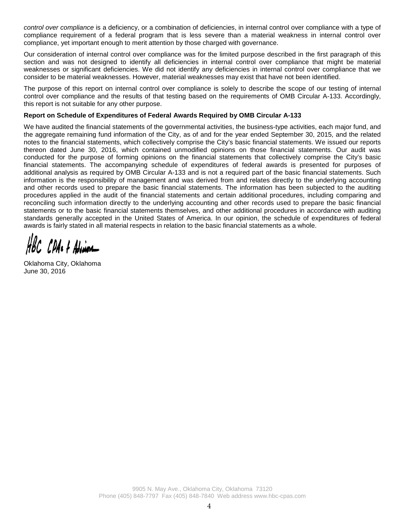*control over compliance* is a deficiency, or a combination of deficiencies, in internal control over compliance with a type of compliance requirement of a federal program that is less severe than a material weakness in internal control over compliance, yet important enough to merit attention by those charged with governance.

Our consideration of internal control over compliance was for the limited purpose described in the first paragraph of this section and was not designed to identify all deficiencies in internal control over compliance that might be material weaknesses or significant deficiencies. We did not identify any deficiencies in internal control over compliance that we consider to be material weaknesses. However, material weaknesses may exist that have not been identified.

The purpose of this report on internal control over compliance is solely to describe the scope of our testing of internal control over compliance and the results of that testing based on the requirements of OMB Circular A-133. Accordingly, this report is not suitable for any other purpose.

#### **Report on Schedule of Expenditures of Federal Awards Required by OMB Circular A-133**

We have audited the financial statements of the governmental activities, the business-type activities, each major fund, and the aggregate remaining fund information of the City, as of and for the year ended September 30, 2015, and the related notes to the financial statements, which collectively comprise the City's basic financial statements. We issued our reports thereon dated June 30, 2016, which contained unmodified opinions on those financial statements. Our audit was conducted for the purpose of forming opinions on the financial statements that collectively comprise the City's basic financial statements. The accompanying schedule of expenditures of federal awards is presented for purposes of additional analysis as required by OMB Circular A-133 and is not a required part of the basic financial statements. Such information is the responsibility of management and was derived from and relates directly to the underlying accounting and other records used to prepare the basic financial statements. The information has been subjected to the auditing procedures applied in the audit of the financial statements and certain additional procedures, including comparing and reconciling such information directly to the underlying accounting and other records used to prepare the basic financial statements or to the basic financial statements themselves, and other additional procedures in accordance with auditing standards generally accepted in the United States of America. In our opinion, the schedule of expenditures of federal awards is fairly stated in all material respects in relation to the basic financial statements as a whole.

CDAs & Advison

Oklahoma City, Oklahoma June 30, 2016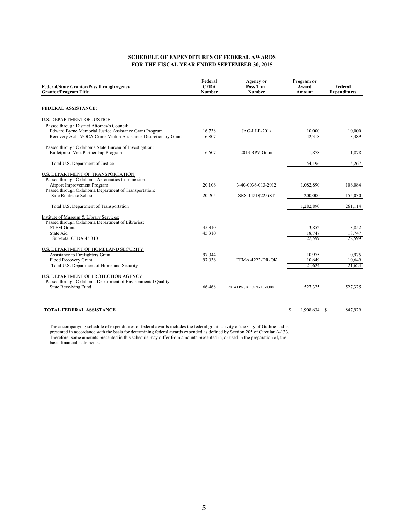#### **SCHEDULE OF EXPENDITURES OF FEDERAL AWARDS FOR THE FISCAL YEAR ENDED SEPTEMBER 30, 2015**

| Federal/State Grantor/Pass through agency<br><b>Grantor/Program Title</b> | Federal<br><b>CFDA</b><br><b>Number</b> | <b>Agency or</b><br><b>Pass Thru</b><br><b>Number</b> | Program or<br>Award<br>Amount | Federal<br><b>Expenditures</b> |
|---------------------------------------------------------------------------|-----------------------------------------|-------------------------------------------------------|-------------------------------|--------------------------------|
|                                                                           |                                         |                                                       |                               |                                |
| <b>FEDERAL ASSISTANCE:</b>                                                |                                         |                                                       |                               |                                |
| U.S. DEPARTMENT OF JUSTICE:                                               |                                         |                                                       |                               |                                |
| Passed through District Attorney's Council:                               |                                         |                                                       |                               |                                |
| Edward Byrne Memorial Justice Assistance Grant Program                    | 16.738                                  | $JAG-LLE-2014$                                        | 10.000                        | 10,000                         |
| Recovery Act - VOCA Crime Victim Assistance Discretionary Grant           | 16.807                                  |                                                       | 42,318                        | 3,389                          |
| Passed through Oklahoma State Bureau of Investigation:                    |                                         |                                                       |                               |                                |
| Bulletproof Vest Partnership Program                                      | 16.607                                  | 2013 BPV Grant                                        | 1.878                         | 1,878                          |
| Total U.S. Department of Justice                                          |                                         |                                                       | 54,196                        | 15,267                         |
| U.S. DEPARTMENT OF TRANSPORTATION:                                        |                                         |                                                       |                               |                                |
| Passed through Oklahoma Aeronautics Commission:                           |                                         |                                                       |                               |                                |
| Airport Improvement Program                                               | 20.106                                  | 3-40-0036-013-2012                                    | 1,082,890                     | 106,084                        |
| Passed through Oklahoma Department of Transportation:                     |                                         |                                                       |                               |                                |
| Safe Routes to Schools                                                    | 20.205                                  | SRS-142D(225)ST                                       | 200,000                       | 155,030                        |
| Total U.S. Department of Transportation                                   |                                         |                                                       | 1,282,890                     | 261,114                        |
| Institute of Museum & Library Services:                                   |                                         |                                                       |                               |                                |
| Passed through Oklahoma Department of Libraries:                          |                                         |                                                       |                               |                                |
| <b>STEM Grant</b>                                                         | 45.310                                  |                                                       | 3.852                         | 3.852                          |
| State Aid                                                                 | 45.310                                  |                                                       | 18,747                        | 18,747                         |
| Sub-total CFDA 45.310                                                     |                                         |                                                       | 22,599                        | 22,599                         |
| U.S. DEPARTMENT OF HOMELAND SECURITY                                      |                                         |                                                       |                               |                                |
| Assistance to Firefighters Grant                                          | 97.044                                  |                                                       | 10.975                        | 10,975                         |
| Flood Recovery Grant                                                      | 97.036                                  | FEMA-4222-DR-OK                                       | 10,649                        | 10,649                         |
| Total U.S. Department of Homeland Security                                |                                         |                                                       | 21.624                        | 21.624                         |
| U.S. DEPARTMENT OF PROTECTION AGENCY:                                     |                                         |                                                       |                               |                                |
| Passed through Oklahoma Department of Environmental Quality:              |                                         |                                                       |                               |                                |
| <b>State Revolving Fund</b>                                               | 66.468                                  | 2014 DWSRF ORF-13-0008                                | 527,325                       | 527,325                        |
|                                                                           |                                         |                                                       |                               |                                |
| <b>TOTAL FEDERAL ASSISTANCE</b>                                           |                                         |                                                       | \$<br>1,908,634 \$            | 847.929                        |

The accompanying schedule of expenditures of federal awards includes the federal grant activity of the City of Guthrie and is presented in accordance with the basis for determining federal awards expended as defined by Section 205 of Circular A-133. Therefore, some amounts presented in this schedule may differ from amounts presented in, or used in the preparation of, the basic financial statements.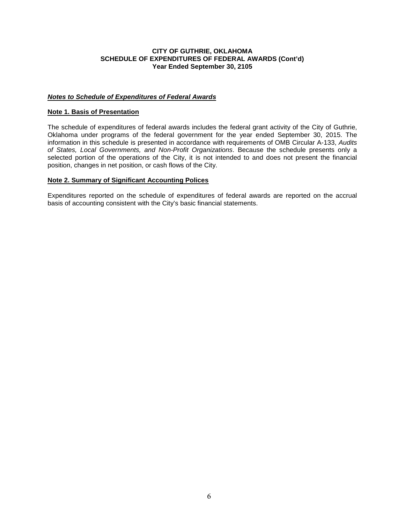#### **CITY OF GUTHRIE, OKLAHOMA SCHEDULE OF EXPENDITURES OF FEDERAL AWARDS (Cont'd) Year Ended September 30, 2105**

#### *Notes to Schedule of Expenditures of Federal Awards*

#### **Note 1. Basis of Presentation**

The schedule of expenditures of federal awards includes the federal grant activity of the City of Guthrie, Oklahoma under programs of the federal government for the year ended September 30, 2015. The information in this schedule is presented in accordance with requirements of OMB Circular A-133, *Audits of States, Local Governments, and Non-Profit Organizations*. Because the schedule presents only a selected portion of the operations of the City, it is not intended to and does not present the financial position, changes in net position, or cash flows of the City.

#### **Note 2. Summary of Significant Accounting Polices**

Expenditures reported on the schedule of expenditures of federal awards are reported on the accrual basis of accounting consistent with the City's basic financial statements.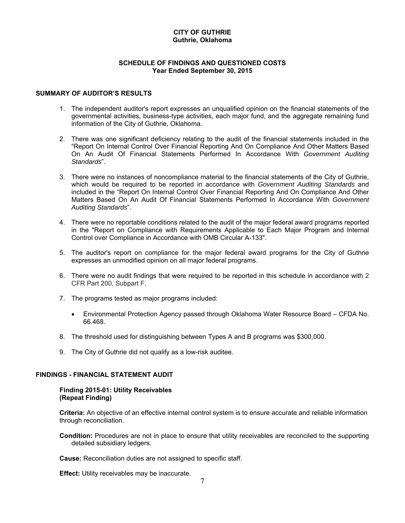#### **CITY OF GUTHRIE Guthrie, Oklahoma**

#### **SCHEDULE OF FINDINGS AND QUESTIONED COSTS Year Ended September 30, 2015**

#### **SUMMARY OF AUDITOR'S RESULTS**

- 1. The independent auditor's report expresses an unqualified opinion on the financial statements of the governmental activities, business-type activities, each major fund, and the aggregate remaining fund information of the City of Guthrie, Oklahoma.
- 2. There was one significant deficiency relating to the audit of the financial statements included in the "Report On Internal Control Over Financial Reporting And On Compliance And Other Matters Based On An Audit Of Financial Statements Performed In Accordance With *Government Auditing Standards*".
- 3. There were no instances of noncompliance material to the financial statements of the City of Guthrie, which would be required to be reported in accordance with *Government Auditing Standards* and included in the "Report On Internal Control Over Financial Reporting And On Compliance And Other Matters Based On An Audit Of Financial Statements Performed In Accordance With *Government Auditing Standards*".
- 4. There were no reportable conditions related to the audit of the major federal award programs reported in the "Report on Compliance with Requirements Applicable to Each Major Program and Internal Control over Compliance in Accordance with OMB Circular A-133".
- 5. The auditor's report on compliance for the major federal award programs for the City of Guthrie expresses an unmodified opinion on all major federal programs.
- 6. There were no audit findings that were required to be reported in this schedule in accordance with 2 CFR Part 200, Subpart F.
- 7. The programs tested as major programs included:
	- Environmental Protection Agency passed through Oklahoma Water Resource Board CFDA No. 66.468.
- 8. The threshold used for distinguishing between Types A and B programs was \$300,000.
- 9. The City of Guthrie did not qualify as a low-risk auditee.

#### **FINDINGS - FINANCIAL STATEMENT AUDIT**

#### **Finding 2015-01: Utility Receivables (Repeat Finding)**

**Criteria:** An objective of an effective internal control system is to ensure accurate and reliable information through reconciliation.

- **Condition:** Procedures are not in place to ensure that utility receivables are reconciled to the supporting detailed subsidiary ledgers.
- **Cause:** Reconciliation duties are not assigned to specific staff.

**Effect:** Utility receivables may be inaccurate.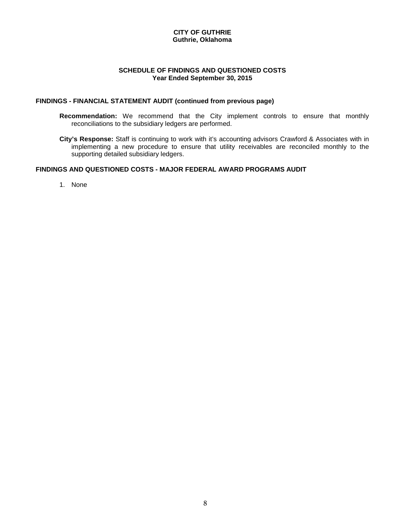#### **CITY OF GUTHRIE Guthrie, Oklahoma**

#### **SCHEDULE OF FINDINGS AND QUESTIONED COSTS Year Ended September 30, 2015**

#### **FINDINGS - FINANCIAL STATEMENT AUDIT (continued from previous page)**

**Recommendation:** We recommend that the City implement controls to ensure that monthly reconciliations to the subsidiary ledgers are performed.

**City's Response:** Staff is continuing to work with it's accounting advisors Crawford & Associates with in implementing a new procedure to ensure that utility receivables are reconciled monthly to the supporting detailed subsidiary ledgers.

#### **FINDINGS AND QUESTIONED COSTS - MAJOR FEDERAL AWARD PROGRAMS AUDIT**

1. None